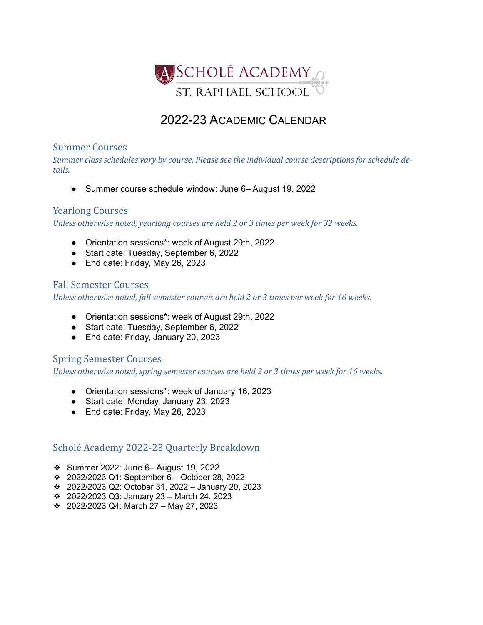

# 2022-23 ACADEMIC CALENDAR

#### Summer Courses

*Summer class schedules vary by course. Please see the individual course descriptions for schedule details.*

● Summer course schedule window: June 6– August 19, 2022

#### Yearlong Courses

*Unless otherwise noted, yearlong courses are held 2 or 3 times per week for 32 weeks.*

- Orientation sessions\*: week of August 29th, 2022
- Start date: Tuesday, September 6, 2022
- End date: Friday, May 26, 2023

#### Fall Semester Courses

*Unless otherwise noted, fall semester courses are held 2 or 3 times per week for 16 weeks.*

- Orientation sessions\*: week of August 29th, 2022
- Start date: Tuesday, September 6, 2022
- End date: Friday, January 20, 2023

## Spring Semester Courses

*Unless otherwise noted, spring semester courses are held 2 or 3 times per week for 16 weeks.*

- Orientation sessions\*: week of January 16, 2023
- Start date: Monday, January 23, 2023
- End date: Friday, May 26, 2023

## Scholé Academy 2022-23 Quarterly Breakdown

- ❖ Summer 2022: June 6– August 19, 2022
- ❖ 2022/2023 Q1: September 6 October 28, 2022
- ❖ 2022/2023 Q2: October 31, 2022 January 20, 2023
- ❖ 2022/2023 Q3: January 23 March 24, 2023
- ❖ 2022/2023 Q4: March 27 May 27, 2023